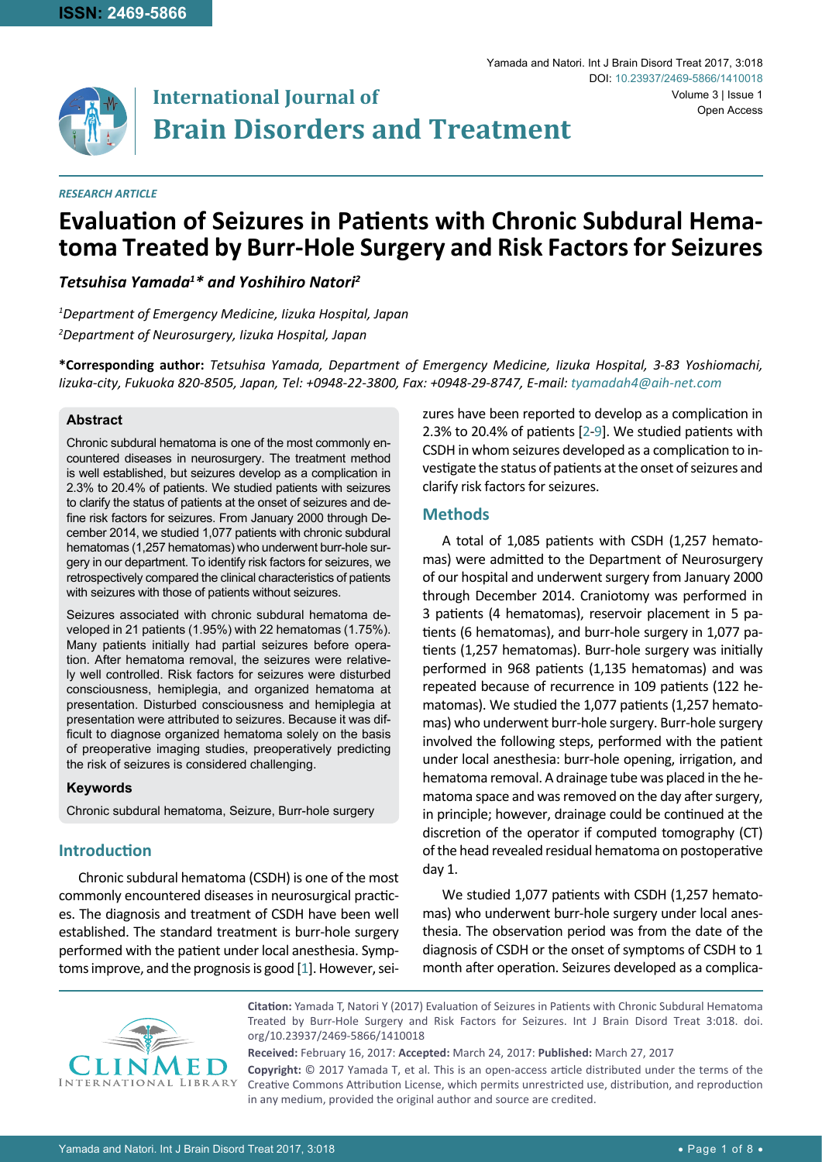

# **International Journal of Brain Disorders and Treatment**

#### *RESEARCH ARTICLE*

# **Evaluation of Seizures in Patients with Chronic Subdural Hema- toma Treated by Burr-Hole Surgery and Risk Factors for Seizures**

# *Tetsuhisa Yamada1 \* and Yoshihiro Natori2*

*1 Department of Emergency Medicine, Iizuka Hospital, Japan 2 Department of Neurosurgery, Iizuka Hospital, Japan*

**\*Corresponding author:** *Tetsuhisa Yamada, Department of Emergency Medicine, Iizuka Hospital, 3-83 Yoshiomachi, Iizuka-city, Fukuoka 820-8505, Japan, Tel: +0948-22-3800, Fax: +0948-29-8747, E-mail: tyamadah4@aih-net.com*

#### **Abstract**

Chronic subdural hematoma is one of the most commonly encountered diseases in neurosurgery. The treatment method is well established, but seizures develop as a complication in 2.3% to 20.4% of patients. We studied patients with seizures to clarify the status of patients at the onset of seizures and define risk factors for seizures. From January 2000 through December 2014, we studied 1,077 patients with chronic subdural hematomas (1,257 hematomas) who underwent burr-hole surgery in our department. To identify risk factors for seizures, we retrospectively compared the clinical characteristics of patients with seizures with those of patients without seizures.

Seizures associated with chronic subdural hematoma developed in 21 patients (1.95%) with 22 hematomas (1.75%). Many patients initially had partial seizures before operation. After hematoma removal, the seizures were relatively well controlled. Risk factors for seizures were disturbed consciousness, hemiplegia, and organized hematoma at presentation. Disturbed consciousness and hemiplegia at presentation were attributed to seizures. Because it was difficult to diagnose organized hematoma solely on the basis of preoperative imaging studies, preoperatively predicting the risk of seizures is considered challenging.

#### **Keywords**

Chronic subdural hematoma, Seizure, Burr-hole surgery

## **Introduction**

Chronic subdural hematoma (CSDH) is one of the most commonly encountered diseases in neurosurgical practices. The diagnosis and treatment of CSDH have been well established. The standard treatment is burr-hole surgery performed with the patient under local anesthesia. Symptoms improve, and the prognosis is good [[1](#page-7-2)]. However, seizures have been reported to develop as a complication in 2.3% to 20.4% of patients [[2](#page-7-0)-[9\]](#page-7-1). We studied patients with CSDH in whom seizures developed as a complication to investigate the status of patients at the onset of seizures and clarify risk factors for seizures.

#### **Methods**

A total of 1,085 patients with CSDH (1,257 hematomas) were admitted to the Department of Neurosurgery of our hospital and underwent surgery from January 2000 through December 2014. Craniotomy was performed in 3 patients (4 hematomas), reservoir placement in 5 patients (6 hematomas), and burr-hole surgery in 1,077 patients (1,257 hematomas). Burr-hole surgery was initially performed in 968 patients (1,135 hematomas) and was repeated because of recurrence in 109 patients (122 hematomas). We studied the 1,077 patients (1,257 hematomas) who underwent burr-hole surgery. Burr-hole surgery involved the following steps, performed with the patient under local anesthesia: burr-hole opening, irrigation, and hematoma removal. A drainage tube was placed in the hematoma space and was removed on the day after surgery, in principle; however, drainage could be continued at the discretion of the operator if computed tomography (CT) of the head revealed residual hematoma on postoperative day 1.

We studied 1,077 patients with CSDH (1,257 hematomas) who underwent burr-hole surgery under local anesthesia. The observation period was from the date of the diagnosis of CSDH or the onset of symptoms of CSDH to 1 month after operation. Seizures developed as a complica-



**Citation:** Yamada T, Natori Y (2017) Evaluation of Seizures in Patients with Chronic Subdural Hematoma Treated by Burr-Hole Surgery and Risk Factors for Seizures. Int J Brain Disord Treat 3:018. [doi.](https://doi.org/10.23937/2469-5866/1410018) [org/10.23937/2469-5866/1410018](https://doi.org/10.23937/2469-5866/1410018)

**Received:** February 16, 2017: **Accepted:** March 24, 2017: **Published:** March 27, 2017

**Copyright:** © 2017 Yamada T, et al. This is an open-access article distributed under the terms of the Creative Commons Attribution License, which permits unrestricted use, distribution, and reproduction in any medium, provided the original author and source are credited.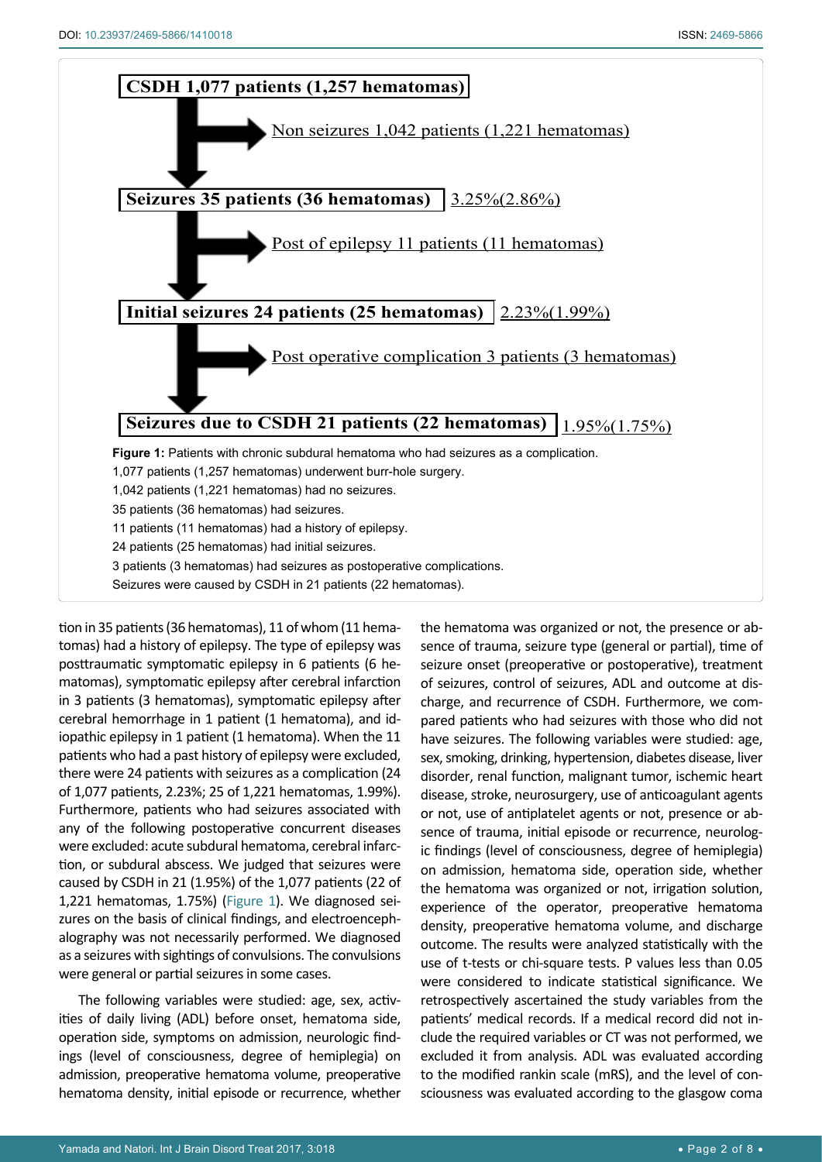<span id="page-1-0"></span>

tion in 35 patients (36 hematomas), 11 of whom (11 hematomas) had a history of epilepsy. The type of epilepsy was posttraumatic symptomatic epilepsy in 6 patients (6 hematomas), symptomatic epilepsy after cerebral infarction in 3 patients (3 hematomas), symptomatic epilepsy after cerebral hemorrhage in 1 patient (1 hematoma), and idiopathic epilepsy in 1 patient (1 hematoma). When the 11 patients who had a past history of epilepsy were excluded, there were 24 patients with seizures as a complication (24 of 1,077 patients, 2.23%; 25 of 1,221 hematomas, 1.99%). Furthermore, patients who had seizures associated with any of the following postoperative concurrent diseases were excluded: acute subdural hematoma, cerebral infarction, or subdural abscess. We judged that seizures were caused by CSDH in 21 (1.95%) of the 1,077 patients (22 of 1,221 hematomas, 1.75%) [\(Figure 1\)](#page-1-0). We diagnosed seizures on the basis of clinical findings, and electroencephalography was not necessarily performed. We diagnosed as a seizures with sightings of convulsions. The convulsions were general or partial seizures in some cases.

The following variables were studied: age, sex, activities of daily living (ADL) before onset, hematoma side, operation side, symptoms on admission, neurologic findings (level of consciousness, degree of hemiplegia) on admission, preoperative hematoma volume, preoperative hematoma density, initial episode or recurrence, whether the hematoma was organized or not, the presence or absence of trauma, seizure type (general or partial), time of seizure onset (preoperative or postoperative), treatment of seizures, control of seizures, ADL and outcome at discharge, and recurrence of CSDH. Furthermore, we compared patients who had seizures with those who did not have seizures. The following variables were studied: age, sex, smoking, drinking, hypertension, diabetes disease, liver disorder, renal function, malignant tumor, ischemic heart disease, stroke, neurosurgery, use of anticoagulant agents or not, use of antiplatelet agents or not, presence or absence of trauma, initial episode or recurrence, neurologic findings (level of consciousness, degree of hemiplegia) on admission, hematoma side, operation side, whether the hematoma was organized or not, irrigation solution, experience of the operator, preoperative hematoma density, preoperative hematoma volume, and discharge outcome. The results were analyzed statistically with the use of t-tests or chi-square tests. P values less than 0.05 were considered to indicate statistical significance. We retrospectively ascertained the study variables from the patients' medical records. If a medical record did not include the required variables or CT was not performed, we excluded it from analysis. ADL was evaluated according to the modified rankin scale (mRS), and the level of consciousness was evaluated according to the glasgow coma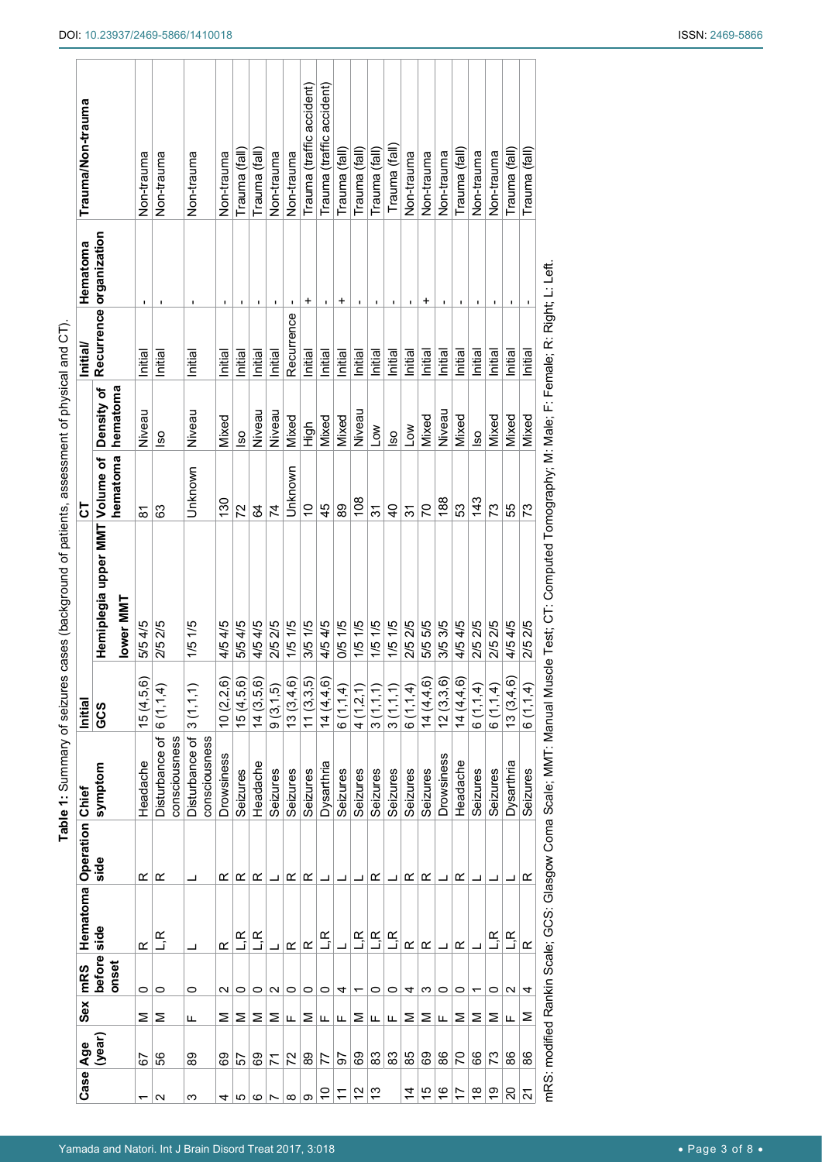| Case Age       |        |   | Sex mRS           | Hematoma Operation Chief  |      |                                                                    | Initial                                      |                                                                             | 5              |                              | Initial/   | Hematoma                | Trauma/Non-trauma         |
|----------------|--------|---|-------------------|---------------------------|------|--------------------------------------------------------------------|----------------------------------------------|-----------------------------------------------------------------------------|----------------|------------------------------|------------|-------------------------|---------------------------|
|                | (year) |   | before<br>onset   | side                      | side | symptom                                                            | GCS                                          | Hemiplegia upper MMT Volume of                                              | hematoma       | Density of<br>hematoma       |            | Recurrence organization |                           |
|                |        |   |                   |                           |      |                                                                    |                                              | lower MM1                                                                   |                |                              |            |                         |                           |
| ᡪ              | 5      | Σ | 0                 | œ                         | œ    | Headache                                                           | 15(4, 5, 6)                                  | 5/5 4/5                                                                     | ౚ              | Niveau                       | Initial    | ٠                       | Non-trauma                |
| N              | 56     | Σ | 0                 | ے<br>آ                    | œ    | Disturbance of<br>consciousness                                    | 6(1,1,4)                                     | 2/52/5                                                                      | 3              | $\overline{\text{}}^{\circ}$ | Initial    |                         | Non-trauma                |
| ო              | စ္ထ    | щ | 0                 | ᆜ                         |      | Disturbance of<br>consciousness                                    | (1, 1, 1)<br>ო                               | 1/5 1/5                                                                     | Unknown        | Niveau                       | Initial    |                         | Non-trauma                |
| 4              | င္မွာ  | Σ | N                 | ≃                         | ≃    | <b>Drowsiness</b>                                                  | 10(2,2,6)                                    | 4/54/5                                                                      | 130            | Mixed                        | Initial    |                         | Non-trauma                |
| ю              | 5      | Σ | 0                 | ے<br>آ                    | œ    | Seizures                                                           | 15(4,5,6)                                    | 5/54/5                                                                      | 72             | $\overline{\text{}}$         | Initial    | 1                       | Trauma (fall)             |
| ဖ              | င္ပ    | Σ | 0                 | $\mathbb{E}_{\mathbf{p}}$ | œ    | Headache                                                           | $\overline{5}$ , $\overline{6}$ )<br>14(3.5) | 4/54/5                                                                      | 64             | Niveau                       | Initial    |                         | Trauma (fall)             |
|                | 71     | ⋝ | N                 |                           |      | Seizures                                                           | <u>ົດ</u><br>9(3,1,                          | 2/52/5                                                                      | 74             | Niveau                       | Initial    | 1                       | Non-trauma                |
| ∞              | 22     | ட | 0                 | œ                         | œ    | Seizures                                                           | (9, 6)<br>13(3,4)                            | 1/5 1/5                                                                     | Unknown        | Mixed                        | Recurrence |                         | Non-trauma                |
| တ              | စ္ထ    | Σ | 0                 | œ                         | œ    | Seizures                                                           | (3,3,5)                                      | 3/51/5                                                                      | $\frac{1}{2}$  | High                         | Initial    | +                       | Trauma (traffic accident) |
| S              | 77     | щ | 0                 | ے<br>آ                    | ┙    | Dysarthria                                                         | 14(4,4,6)                                    | 4/54/5                                                                      | 45             | Mixed                        | Initial    | ٠                       | Trauma (traffic accident) |
| F              | 5      | щ | 4                 |                           |      | Seizures                                                           | 6(1,1,4)                                     | 0/51/5                                                                      | 89             | Mixed                        | Initial    | +                       | Trauma (fall)             |
| 51             | ගි     | Σ | ᠇                 | ے<br>آ                    |      | Seizures                                                           | 4(1, 2, 1)                                   | 1/51/5                                                                      | 108            | Niveau                       | Initial    | ٠                       | Trauma (fall)             |
| చ              | 83     | щ | 0                 | ۲<br>آ                    | œ    | Seizures                                                           | 3(1,1,1)                                     | 1/51/5                                                                      | ᢌ              | $\sum_{i=1}^{n}$             | Initial    | 1                       | Trauma (fall)             |
|                | 83     | ட | 0                 | ے<br>آ                    |      | Seizures                                                           | 3(1,1,1)                                     | 1/5 1/5                                                                     | $\overline{6}$ | $\overline{\text{}}^{\circ}$ | Initial    | ٠                       | Trauma (fall              |
| $\dot{4}$      | 85     | Σ | 4                 | œ                         | œ    | Seizures                                                           | 6(1,1,4)                                     | 2/52/5                                                                      | 31             | <b>NOT</b>                   | Initial    | I.                      | Non-trauma                |
| 15             | 89     | ⋝ | ო                 | ≃                         | œ    | Seizures                                                           | 14(4, 4, 6)                                  | 5/5 5/5                                                                     | 50             | Mixed                        | Initial    | +                       | Non-trauma                |
| $\frac{6}{1}$  | 88     | щ | 0                 | ┙                         | ┙    | Drowsiness                                                         | 12(3,3,6)                                    | 3/53/5                                                                      | 188            | Niveau                       | Initial    | I,                      | Non-trauma                |
| 17             | 20     | Σ | 0                 | ≃                         | ≃    | Headache                                                           | 14 (4,4,6)                                   | 4/54/5                                                                      | 53             | Mixed                        | Initial    | 1                       | Trauma (fall)             |
| $\frac{8}{1}$  | 89     | Σ |                   |                           |      | Seizures                                                           | <u>र</u><br>6 (1,1,                          | 2/52/5                                                                      | 143            | $\overline{\text{}}$         | Initial    | $\blacksquare$          | Non-trauma                |
| စ္             | 73     | Σ | 0                 | ۲<br>آ                    |      | Seizures                                                           | 6(1, 1, 4)                                   | 2/52/5                                                                      | 73             | Mixed                        | Initial    | 1                       | Non-trauma                |
| 20             | 86     | ட | $\mathbf{\Omega}$ | L,R                       |      | Dysarthria                                                         | 13(3,4,6)                                    | 4/54/5                                                                      | 55             | Mixed                        | Initial    | 1                       | Trauma (fall)             |
| $\overline{2}$ | 86     | Σ | 4                 | ≃                         | ≃    | Seizures                                                           | £<br>6(1,1,                                  | 2/52/5                                                                      | 73             | Mixed                        | Initial    |                         | Trauma (fall)             |
|                |        |   |                   |                           |      | mRS: modified Rankin Scale; GCS: Glasgow Coma Scale; MMT: Manual N |                                              | Muscle Test; CT: Computed Tomography; M: Male; F: Female; R: Right; L: Left |                |                              |            |                         |                           |

<span id="page-2-0"></span>Table 1: Summary of seizures cases (background of patients, assessment of physical and CT). **Table 1:** Summary of seizures cases (background of patients, assessment of physical and CT).

٦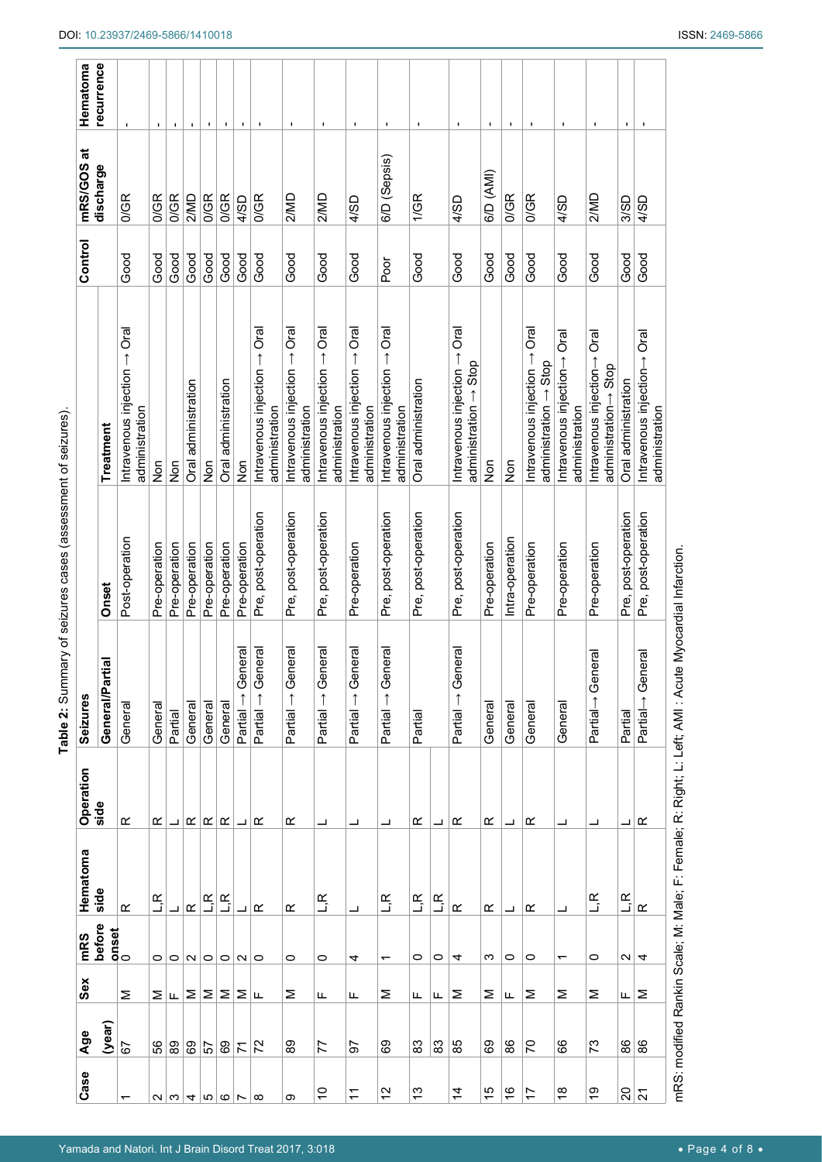| Case                     | Age            | Sex | mRS            | Hematoma                  | Operation                | Seizures                             |                     |                                                                                                      | Control | mRS/GOS at   | Hematoma       |
|--------------------------|----------------|-----|----------------|---------------------------|--------------------------|--------------------------------------|---------------------|------------------------------------------------------------------------------------------------------|---------|--------------|----------------|
|                          | (year)         |     | before         | side                      | side                     | rtial<br>General/Pa                  | Onset               | Treatment                                                                                            |         | discharge    | recurrence     |
|                          | 5              | Σ   | onset<br>0     | œ                         | ≃                        | General                              | Post-operation      | Intravenous injection $\rightarrow$ Oral<br>administration                                           | Good    | 0/GR         |                |
|                          | င္ဟ<br>၁       | Σ   | 0              | ۲.<br>نا                  | œ                        | General                              | Pre-operation       | <b>DoN</b>                                                                                           | Good    | 0/GR         |                |
| $U \omega $ പത           | 89             | ட   |                | ┙                         | L                        | Partial                              | Pre-operation       | <b>S</b>                                                                                             | Good    | 0/GR         | $\blacksquare$ |
|                          | 69             | Σ   | O <sub>N</sub> | $\underline{\alpha}$      | $\propto$                | General                              | Pre-operation       | Oral administration                                                                                  | Good    | 2/MD         | $\blacksquare$ |
|                          | 29             | Σ   | $\circ$        | L,R                       | $\propto$                | General                              | Pre-operation       | moz                                                                                                  | Good    | 0/GR         | $\mathbf{I}$   |
| $\circ$                  | 69             | Σ   | $\circ$        | $\overline{R}$            | œ                        | General                              | Pre-operation       | Oral administration                                                                                  | Good    | 0/GR         |                |
| $\overline{ }$           | $\overline{r}$ | Σ   | $\sim$         | ┙                         | ┙                        | eneral<br>Ō<br>$\uparrow$<br>Partial | Pre-operation       | moz                                                                                                  | Good    | 4/SD         |                |
| $\infty$                 | 72             | ட   | $\circ$        | œ                         | œ                        | eneral<br>Ŏ<br>Partial               | Pre, post-operation | Intravenous injection $\rightarrow$ Oral<br>administration                                           | Good    | 0/GR         |                |
| თ                        | 89             | Σ   | 0              | œ                         | œ                        | eneral<br>Ō<br>$\uparrow$<br>Partial | Pre, post-operation | le<br>Oral<br>Intravenous injection $\rightarrow$<br>administration                                  | Good    | 2/MD         |                |
| S                        | 77             | ட   | 0              | ۲.j                       | ┙                        | eneral<br>Ō<br>$\uparrow$<br>Partial | Pre, post-operation | ក្ខា<br>Oral<br>Intravenous injection $\rightarrow$<br>administration                                | Good    | 2MD          |                |
| Ξ                        | 50             | щ   | 4              |                           | ᆜ                        | eneral<br>Ō<br>$\uparrow$<br>Partial | Pre-operation       | <u>Trai</u><br>Intravenous injection $\rightarrow$<br>administration                                 | Good    | 4/SD         |                |
| $\frac{2}{3}$            | င္ပ            | Σ   | ᠇              | L,R                       | ┙                        | eneral<br>Ō<br>$\uparrow$<br>Partial | Pre, post-operation | le<br>Oral<br>Intravenous injection $\rightarrow$<br>administration                                  | Poor    | 6/D (Sepsis) |                |
| 13                       | 83             | щ   | 0              | L,R                       | œ                        | Partial                              | Pre, post-operation | Oral administration                                                                                  | Good    | 1/GR         |                |
|                          | 83             | щ   | 0              | $L, \overline{R}$         | ┙                        |                                      |                     |                                                                                                      |         |              |                |
| $\dot{4}$                | 85             | Σ   | 4              | $\underline{\alpha}$      | $\alpha$                 | eneral<br>Ŏ<br>$\uparrow$<br>Partial | Pre, post-operation | Intravenous injection $\rightarrow$ Oral<br>$administration \rightarrow Stop$                        | Good    | 4/SD         |                |
| 15                       | 89             | Σ   | ო              | œ                         | œ                        | General                              | Pre-operation       | <b>S</b>                                                                                             | Good    | 6/D (AMI)    |                |
| $\overset{\circ}{\cdot}$ | 88             | щ   | 0              | ┙                         | ┙                        | General                              | Intra-operation     | mord                                                                                                 | Good    | 0/GR         |                |
| 17                       | 50             | Σ   | 0              | œ                         | œ                        | General                              | Pre-operation       | le<br>Oral<br>Intravenous injection $\rightarrow$<br>$\mathsf{admin}$ inistration $\rightarrow$ Stop | Good    | 0/GR         |                |
| $\frac{8}{1}$            | 89             | Σ   | ᠇              |                           |                          | General                              | Pre-operation       | Oral<br>Intravenous injection→<br>administration                                                     | Good    | 4/SD         |                |
| ەب<br>                   | 73             | Σ   | 0              | $\overline{R}$            | ┙                        | General<br>$Partial \rightarrow$     | Pre-operation       | Intravenous injection $\rightarrow$ Oral<br>administration -> Stop                                   | Good    | 2/MD         |                |
|                          | $\frac{8}{8}$  | щ   | N              | $\mathsf{L}$ $\mathsf{R}$ | $\overline{\phantom{0}}$ | Partial                              | Pre, post-operation | Oral administration                                                                                  | Good    | 3/SD         | $\mathbf I$    |
| ន $ \tilde{z} $          |                | Σ   | 4              | $\underline{\alpha}$      | œ                        | General<br>$Partial \rightarrow$     | Pre, post-operation | Intravenous injection $\rightarrow$ Oral<br>administration                                           | Good    | 4/SD         |                |
| ć                        | C              |     |                |                           |                          | ś                                    |                     |                                                                                                      |         |              |                |

<span id="page-3-0"></span>Table 2: Summary of seizures cases (assessment of seizures). **Table 2:** Summary of seizures cases (assessment of seizures).

mRS: modified Rankin Scale; M: Male; F: Female; R: Right; L: Left; AMI : Acute Myocardial Infarction. mRS: modified Rankin Scale; M: Male; F: Female; R: Right; L: Left; AMI : Acute Myocardial Infarction.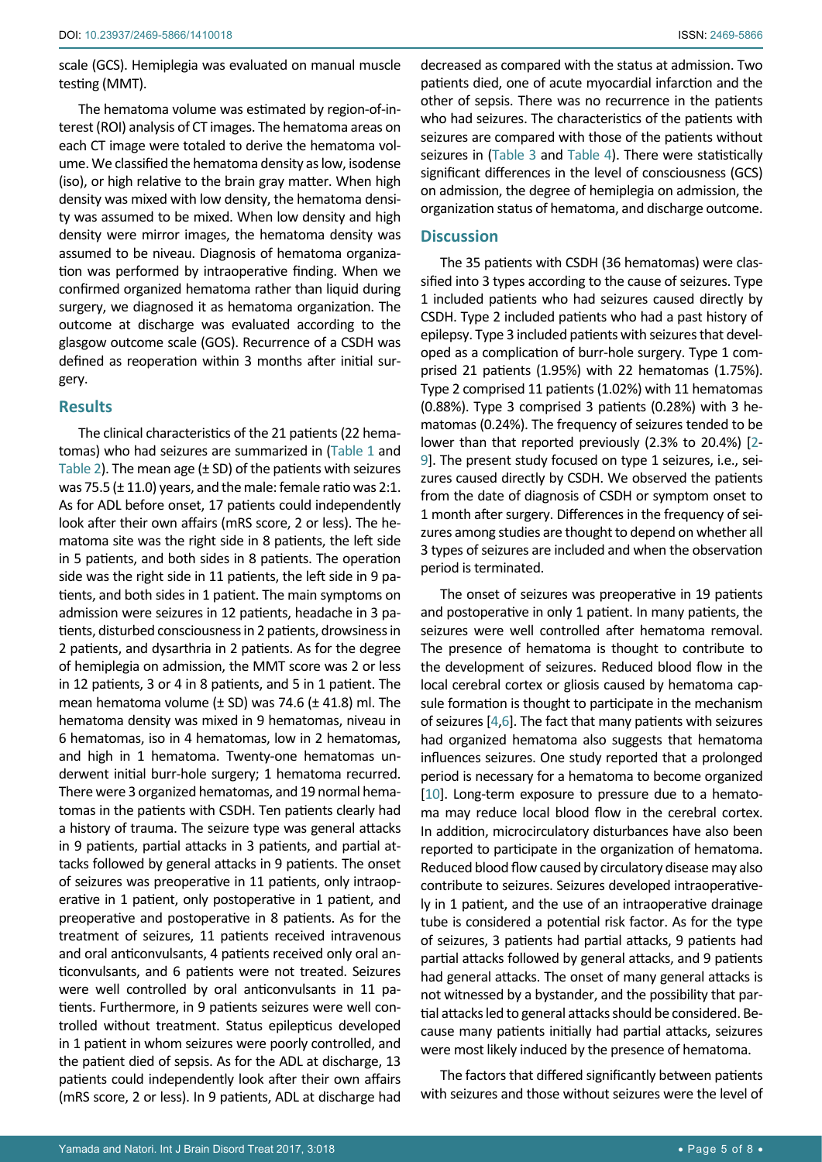scale (GCS). Hemiplegia was evaluated on manual muscle testing (MMT).

The hematoma volume was estimated by region-of-interest (ROI) analysis of CT images. The hematoma areas on each CT image were totaled to derive the hematoma volume. We classified the hematoma density as low, isodense (iso), or high relative to the brain gray matter. When high density was mixed with low density, the hematoma density was assumed to be mixed. When low density and high density were mirror images, the hematoma density was assumed to be niveau. Diagnosis of hematoma organization was performed by intraoperative finding. When we confirmed organized hematoma rather than liquid during surgery, we diagnosed it as hematoma organization. The outcome at discharge was evaluated according to the glasgow outcome scale (GOS). Recurrence of a CSDH was defined as reoperation within 3 months after initial surgery.

#### **Results**

The clinical characteristics of the 21 patients (22 hematomas) who had seizures are summarized in ([Table 1](#page-2-0) and [Table 2](#page-3-0)). The mean age  $(\pm$  SD) of the patients with seizures was 75.5 (± 11.0) years, and the male: female ratio was 2:1. As for ADL before onset, 17 patients could independently look after their own affairs (mRS score, 2 or less). The hematoma site was the right side in 8 patients, the left side in 5 patients, and both sides in 8 patients. The operation side was the right side in 11 patients, the left side in 9 patients, and both sides in 1 patient. The main symptoms on admission were seizures in 12 patients, headache in 3 patients, disturbed consciousness in 2 patients, drowsiness in 2 patients, and dysarthria in 2 patients. As for the degree of hemiplegia on admission, the MMT score was 2 or less in 12 patients, 3 or 4 in 8 patients, and 5 in 1 patient. The mean hematoma volume  $(\pm$  SD) was 74.6 ( $\pm$  41.8) ml. The hematoma density was mixed in 9 hematomas, niveau in 6 hematomas, iso in 4 hematomas, low in 2 hematomas, and high in 1 hematoma. Twenty-one hematomas underwent initial burr-hole surgery; 1 hematoma recurred. There were 3 organized hematomas, and 19 normal hematomas in the patients with CSDH. Ten patients clearly had a history of trauma. The seizure type was general attacks in 9 patients, partial attacks in 3 patients, and partial attacks followed by general attacks in 9 patients. The onset of seizures was preoperative in 11 patients, only intraoperative in 1 patient, only postoperative in 1 patient, and preoperative and postoperative in 8 patients. As for the treatment of seizures, 11 patients received intravenous and oral anticonvulsants, 4 patients received only oral anticonvulsants, and 6 patients were not treated. Seizures were well controlled by oral anticonvulsants in 11 patients. Furthermore, in 9 patients seizures were well controlled without treatment. Status epilepticus developed in 1 patient in whom seizures were poorly controlled, and the patient died of sepsis. As for the ADL at discharge, 13 patients could independently look after their own affairs (mRS score, 2 or less). In 9 patients, ADL at discharge had

decreased as compared with the status at admission. Two patients died, one of acute myocardial infarction and the other of sepsis. There was no recurrence in the patients who had seizures. The characteristics of the patients with seizures are compared with those of the patients without seizures in ([Table 3](#page-5-0) and [Table 4](#page-6-0)). There were statistically significant differences in the level of consciousness (GCS) on admission, the degree of hemiplegia on admission, the organization status of hematoma, and discharge outcome.

# **Discussion**

The 35 patients with CSDH (36 hematomas) were classified into 3 types according to the cause of seizures. Type 1 included patients who had seizures caused directly by CSDH. Type 2 included patients who had a past history of epilepsy. Type 3 included patients with seizures that developed as a complication of burr-hole surgery. Type 1 comprised 21 patients (1.95%) with 22 hematomas (1.75%). Type 2 comprised 11 patients (1.02%) with 11 hematomas (0.88%). Type 3 comprised 3 patients (0.28%) with 3 hematomas (0.24%). The frequency of seizures tended to be lower than that reported previously (2.3% to 20.4%) [[2](#page-7-0)- [9](#page-7-1)]. The present study focused on type 1 seizures, i.e., seizures caused directly by CSDH. We observed the patients from the date of diagnosis of CSDH or symptom onset to 1 month after surgery. Differences in the frequency of seizures among studies are thought to depend on whether all 3 types of seizures are included and when the observation period is terminated.

The onset of seizures was preoperative in 19 patients and postoperative in only 1 patient. In many patients, the seizures were well controlled after hematoma removal. The presence of hematoma is thought to contribute to the development of seizures. Reduced blood flow in the local cerebral cortex or gliosis caused by hematoma capsule formation is thought to participate in the mechanism of seizures [[4](#page-7-3),[6\]](#page-7-4). The fact that many patients with seizures had organized hematoma also suggests that hematoma influences seizures. One study reported that a prolonged period is necessary for a hematoma to become organized [[10](#page-7-5)]. Long-term exposure to pressure due to a hematoma may reduce local blood flow in the cerebral cortex. In addition, microcirculatory disturbances have also been reported to participate in the organization of hematoma. Reduced blood flow caused by circulatory disease may also contribute to seizures. Seizures developed intraoperatively in 1 patient, and the use of an intraoperative drainage tube is considered a potential risk factor. As for the type of seizures, 3 patients had partial attacks, 9 patients had partial attacks followed by general attacks, and 9 patients had general attacks. The onset of many general attacks is not witnessed by a bystander, and the possibility that partial attacks led to general attacks should be considered. Because many patients initially had partial attacks, seizures were most likely induced by the presence of hematoma.

The factors that differed significantly between patients with seizures and those without seizures were the level of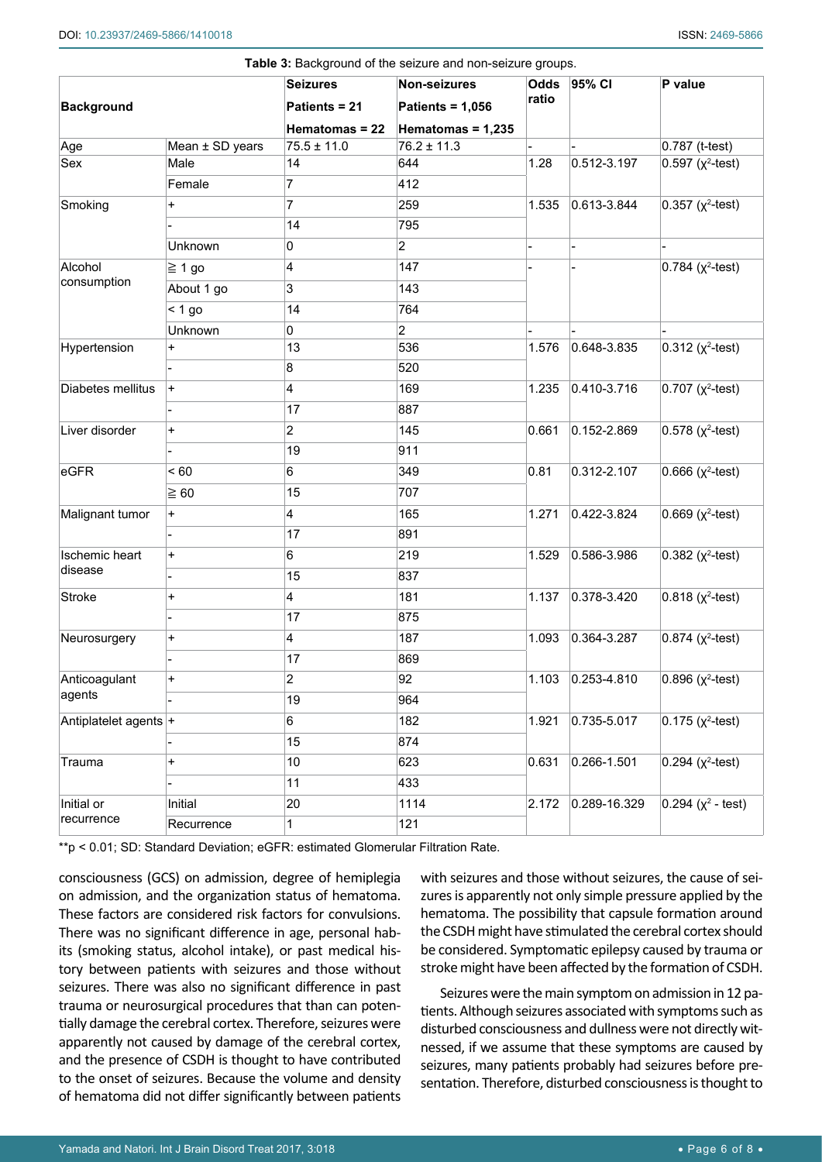|                       |                   | <b>Seizures</b>         | <b>Table 0.</b> Background of the scizare and non-scizare groups.<br><b>Non-seizures</b> | Odds  | 95% CI          | P value                   |
|-----------------------|-------------------|-------------------------|------------------------------------------------------------------------------------------|-------|-----------------|---------------------------|
| <b>Background</b>     |                   | Patients = 21           | <b>Patients = 1,056</b>                                                                  | ratio |                 |                           |
|                       |                   | Hematomas = 22          | Hematomas = 1,235                                                                        |       |                 |                           |
| Age                   | Mean $±$ SD years | $75.5 \pm 11.0$         | $76.2 \pm 11.3$                                                                          |       |                 | 0.787 (t-test)            |
| Sex                   | Male              | 14                      | 644                                                                                      | 1.28  | 0.512-3.197     | $0.597 (x^2-test)$        |
|                       | Female            | 7                       | 412                                                                                      |       |                 |                           |
| Smoking               | $\ddot{}$         | 7                       | 259                                                                                      | 1.535 | 0.613-3.844     | $0.357$ ( $\chi^2$ -test) |
|                       |                   | 14                      | 795                                                                                      |       |                 |                           |
|                       | Unknown           | 0                       | $\overline{2}$                                                                           |       |                 |                           |
| Alcohol               | $\geq 1$ go       | 4                       | 147                                                                                      |       |                 | $0.784$ ( $\chi^2$ -test) |
| consumption           | About 1 go        | 3                       | 143                                                                                      |       |                 |                           |
|                       | $< 1$ go          | 14                      | 764                                                                                      |       |                 |                           |
|                       | Unknown           | 0                       | $\overline{2}$                                                                           |       |                 |                           |
| Hypertension          | +                 | 13                      | 536                                                                                      | 1.576 | 0.648-3.835     | $0.312$ ( $x^2$ -test)    |
|                       |                   | 8                       | 520                                                                                      |       |                 |                           |
| Diabetes mellitus     | $\ddot{}$         | 4                       | 169                                                                                      | 1.235 | 0.410-3.716     | $0.707$ ( $\chi^2$ -test) |
|                       |                   | 17                      | 887                                                                                      |       |                 |                           |
| Liver disorder        | +                 | $\overline{2}$          | 145                                                                                      | 0.661 | $0.152 - 2.869$ | $0.578$ ( $x^2$ -test)    |
|                       |                   | 19                      | 911                                                                                      |       |                 |                           |
| eGFR                  | ~< 60             | 6                       | 349                                                                                      | 0.81  | 0.312-2.107     | $0.666$ ( $x^2$ -test)    |
|                       | $\geq 60$         | 15                      | 707                                                                                      |       |                 |                           |
| Malignant tumor       | $\ddot{}$         | $\overline{4}$          | 165                                                                                      | 1.271 | 0.422-3.824     | $0.669$ ( $x^2$ -test)    |
|                       |                   | 17                      | 891                                                                                      |       |                 |                           |
| <b>Ischemic heart</b> | $\ddot{}$         | 6                       | 219                                                                                      | 1.529 | 0.586-3.986     | $0.382$ ( $\chi^2$ -test) |
| disease               |                   | 15                      | 837                                                                                      |       |                 |                           |
| <b>Stroke</b>         | +                 | $\overline{\mathbf{4}}$ | 181                                                                                      | 1.137 | 0.378-3.420     | $0.818$ ( $x^2$ -test)    |
|                       |                   | 17                      | 875                                                                                      |       |                 |                           |
| Neurosurgery          | +                 | 4                       | 187                                                                                      | 1.093 | 0.364-3.287     | $0.874$ ( $\chi^2$ -test) |
|                       |                   | 17                      | 869                                                                                      |       |                 |                           |
| Anticoagulant         | $\ddot{}$         | $\overline{2}$          | 92                                                                                       | 1.103 | $0.253 - 4.810$ | $0.896$ ( $\chi^2$ -test) |
| agents                |                   | 19                      | 964                                                                                      |       |                 |                           |
| Antiplatelet agents + |                   | 6                       | 182                                                                                      | 1.921 | 0.735-5.017     | $0.175$ ( $x^2$ -test)    |
|                       |                   | 15                      | 874                                                                                      |       |                 |                           |
| Trauma                | +                 | 10                      | 623                                                                                      | 0.631 | 0.266-1.501     | $0.294$ ( $\chi^2$ -test) |
|                       |                   | 11                      | 433                                                                                      |       |                 |                           |
| Initial or            | Initial           | 20                      | 1114                                                                                     | 2.172 | 0.289-16.329    | $0.294 (x^2 - test)$      |
| recurrence            | Recurrence        | 1                       | 121                                                                                      |       |                 |                           |

<span id="page-5-0"></span>**Table 3:** Background of the seizure and non-seizure groups.

\*\*p < 0.01; SD: Standard Deviation; eGFR: estimated Glomerular Filtration Rate.

consciousness (GCS) on admission, degree of hemiplegia on admission, and the organization status of hematoma. These factors are considered risk factors for convulsions. There was no significant difference in age, personal habits (smoking status, alcohol intake), or past medical history between patients with seizures and those without seizures. There was also no significant difference in past trauma or neurosurgical procedures that than can potentially damage the cerebral cortex. Therefore, seizures were apparently not caused by damage of the cerebral cortex, and the presence of CSDH is thought to have contributed to the onset of seizures. Because the volume and density of hematoma did not differ significantly between patients

with seizures and those without seizures, the cause of seizures is apparently not only simple pressure applied by the hematoma. The possibility that capsule formation around the CSDH might have stimulated the cerebral cortex should be considered. Symptomatic epilepsy caused by trauma or stroke might have been affected by the formation of CSDH.

Seizures were the main symptom on admission in 12 patients. Although seizures associated with symptoms such as disturbed consciousness and dullness were not directly witnessed, if we assume that these symptoms are caused by seizures, many patients probably had seizures before presentation. Therefore, disturbed consciousness is thought to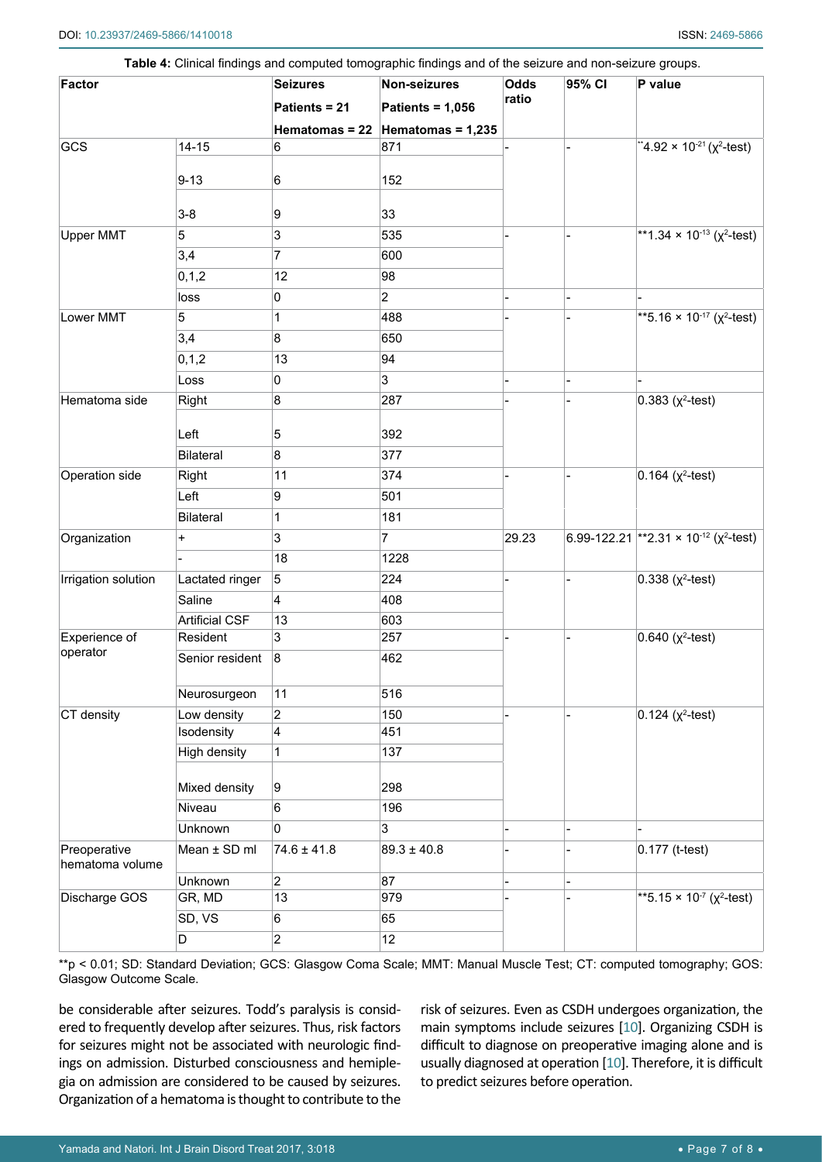| <b>Factor</b>                   |                       | <b>Seizures</b>         | Non-seizures                       | <b>Odds</b> | 95% CI | P value                                                   |
|---------------------------------|-----------------------|-------------------------|------------------------------------|-------------|--------|-----------------------------------------------------------|
|                                 |                       | Patients = 21           | <b>Patients = 1,056</b>            | ratio       |        |                                                           |
|                                 |                       |                         | Hematomas = 22 Hematomas = $1,235$ |             |        |                                                           |
| GCS                             | $14 - 15$             | 6                       | 871                                |             |        | "4.92 × 10 <sup>-21</sup> ( $\chi^2$ -test)               |
|                                 | $9 - 13$              | 6                       | 152                                |             |        |                                                           |
|                                 | $3-8$                 | 9                       | 33                                 |             |        |                                                           |
| Upper MMT                       | 5                     | 3                       | 535                                |             |        | **1.34 × 10 <sup>-13</sup> ( $\chi^2$ -test)              |
|                                 | 3,4                   | $\overline{7}$          | 600                                |             |        |                                                           |
|                                 | 0, 1, 2               | 12                      | 98                                 |             |        |                                                           |
|                                 | loss                  | 0                       | $\overline{2}$                     |             |        |                                                           |
| Lower MMT                       | 5                     | 1                       | 488                                |             |        | **5.16 × 10 <sup>-17</sup> ( $\chi^2$ -test)              |
|                                 | 3,4                   | 8                       | 650                                |             |        |                                                           |
|                                 | 0, 1, 2               | 13                      | 94                                 |             |        |                                                           |
|                                 | Loss                  | 0                       | 3                                  |             |        |                                                           |
| Hematoma side                   | Right                 | 8                       | 287                                |             |        | $0.383$ ( $x^2$ -test)                                    |
|                                 | Left                  | 5                       | 392                                |             |        |                                                           |
|                                 | <b>Bilateral</b>      | 8                       | 377                                |             |        |                                                           |
| Operation side                  | Right                 | 11                      | 374                                |             |        | $0.164$ ( $x^2$ -test)                                    |
|                                 | Left                  | 9                       | 501                                |             |        |                                                           |
|                                 | <b>Bilateral</b>      | 1                       | 181                                |             |        |                                                           |
| Organization                    | $\ddot{}$             | $\overline{3}$          | $\overline{7}$                     | 29.23       |        | 6.99-122.21 ** 2.31 × 10 <sup>-12</sup> ( $\chi^2$ -test) |
|                                 |                       | 18                      | 1228                               |             |        |                                                           |
| Irrigation solution             | Lactated ringer       | 5                       | 224                                |             |        | $0.338$ ( $x^2$ -test)                                    |
|                                 | Saline                | 4                       | 408                                |             |        |                                                           |
|                                 | <b>Artificial CSF</b> | 13                      | 603                                |             |        |                                                           |
| Experience of                   | Resident              | 3                       | 257                                |             |        | $0.640$ ( $x^2$ -test)                                    |
| operator                        | Senior resident       | 8                       | 462                                |             |        |                                                           |
|                                 | Neurosurgeon          | 11                      | 516                                |             |        |                                                           |
| CT density                      | Low density           | $\overline{2}$          | 150                                |             |        | $0.124$ ( $x^2$ -test)                                    |
|                                 | Isodensity            | $\overline{\mathbf{4}}$ | 451                                |             |        |                                                           |
|                                 | High density          | $\mathbf 1$             | 137                                |             |        |                                                           |
|                                 | Mixed density         | 9                       | 298                                |             |        |                                                           |
|                                 | Niveau                | 6                       | 196                                |             |        |                                                           |
|                                 | Unknown               | 0                       | 3                                  |             |        |                                                           |
| Preoperative<br>hematoma volume | Mean ± SD ml          | $74.6 \pm 41.8$         | $89.3 \pm 40.8$                    |             |        | $0.177$ (t-test)                                          |
|                                 | Unknown               | $\overline{2}$          | 87                                 |             |        |                                                           |
| Discharge GOS                   | GR, MD                | 13                      | 979                                |             |        | **5.15 × 10 <sup>-7</sup> ( $\chi^2$ -test)               |
|                                 | SD, VS                | 6                       | 65                                 |             |        |                                                           |
|                                 | D                     | $\overline{2}$          | 12                                 |             |        |                                                           |

<span id="page-6-0"></span>**Table 4:** Clinical findings and computed tomographic findings and of the seizure and non-seizure groups.

\*\*p < 0.01; SD: Standard Deviation; GCS: Glasgow Coma Scale; MMT: Manual Muscle Test; CT: computed tomography; GOS: Glasgow Outcome Scale.

be considerable after seizures. Todd's paralysis is considered to frequently develop after seizures. Thus, risk factors for seizures might not be associated with neurologic findings on admission. Disturbed consciousness and hemiplegia on admission are considered to be caused by seizures. Organization of a hematoma is thought to contribute to the

risk of seizures. Even as CSDH undergoes organization, the main symptoms include seizures [[10](#page-7-5)]. Organizing CSDH is difficult to diagnose on preoperative imaging alone and is usually diagnosed at operation [[10](#page-7-5)]. Therefore, it is difficult to predict seizures before operation.